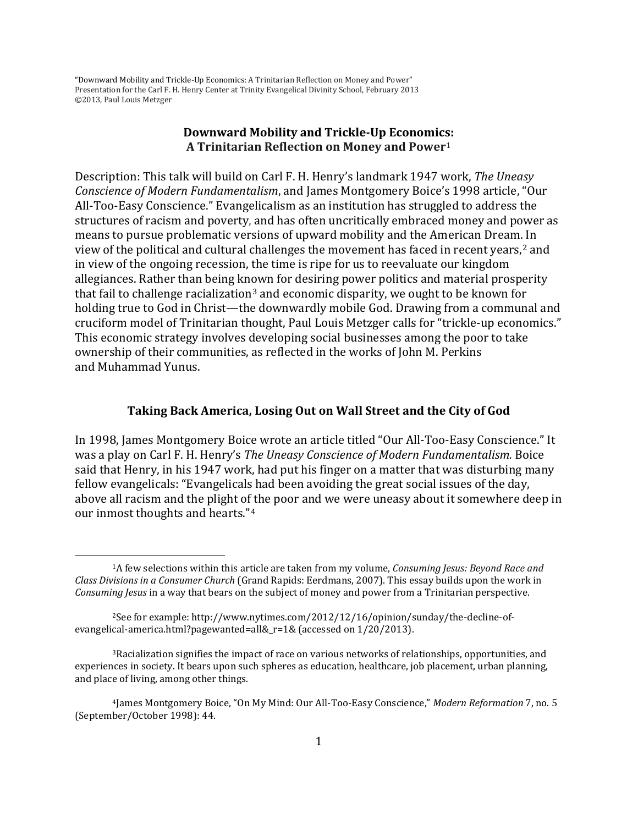## **Downward Mobility and Trickle-Up Economic[s:](#page-18-0) A Trinitarian Reflection on Money and Power**<sup>1</sup>

Description: This talk will build on Carl F. H. Henry's landmark 1947 work, *The Uneasy Conscience of Modern Fundamentalism*, and James Montgomery Boice's 1998 article, "Our All-Too-Easy Conscience." Evangelicalism as an institution has struggled to address the structures of racism and poverty, and has often uncritically embraced money and power as means to pursue problematic versions of upward mobility and the American Dream[. I](#page-0-0)n view of the political and cultural challenges the movement has faced in recent years, <sup>2</sup> and in view of the ongoing recession, the time is ripe for us to reevaluate our kingdom allegiances. Rather than being known for desiring power politics and material prosperity that fail to challenge racialization<sup>[3](#page-0-1)</sup> and economic disparity, we ought to be known for holding true to God in Christ—the downwardly mobile God. Drawing from a communal and cruciform model of Trinitarian thought, Paul Louis Metzger calls for "trickle-up economics." This economic strategy involves developing social businesses among the poor to take ownership of their communities, as reflected in the works of John M. Perkins and Muhammad Yunus.

#### **Taking Back America, Losing Out on Wall Street and the City of God**

In 1998, James Montgomery Boice wrote an article titled "Our All-Too-Easy Conscience." It was a play on Carl F. H. Henry's *The Uneasy Conscience of Modern Fundamentalism.* Boice said that Henry, in his 1947 work, had put his finger on a matter that was disturbing many fellow evangelicals: "Evangelicals had been avoiding the great social issues of the day, above all racism and the plight of the poor and we were uneasy about it somewhere deep in our inmost thoughts and hearts."[4](#page-0-2)

<span id="page-0-3"></span><sup>1</sup>A few selections within this article are taken from my volume, *Consuming Jesus: Beyond Race and Class Divisions in a Consumer Church* (Grand Rapids: Eerdmans, 2007). This essay builds upon the work in *Consuming Jesus* in a way that bears on the subject of money and power from a Trinitarian perspective.

<span id="page-0-0"></span><sup>2</sup>See for example: http://www.nytimes.com/2012/12/16/opinion/sunday/the-decline-ofevangelical-america.html?pagewanted=all&\_r=1& (accessed on 1/20/2013).

<span id="page-0-1"></span><sup>3</sup>Racialization signifies the impact of race on various networks of relationships, opportunities, and experiences in society. It bears upon such spheres as education, healthcare, job placement, urban planning, and place of living, among other things.

<span id="page-0-2"></span><sup>4</sup>James Montgomery Boice, "On My Mind: Our All-Too-Easy Conscience," *Modern Reformation* 7, no. 5 (September/October 1998): 44.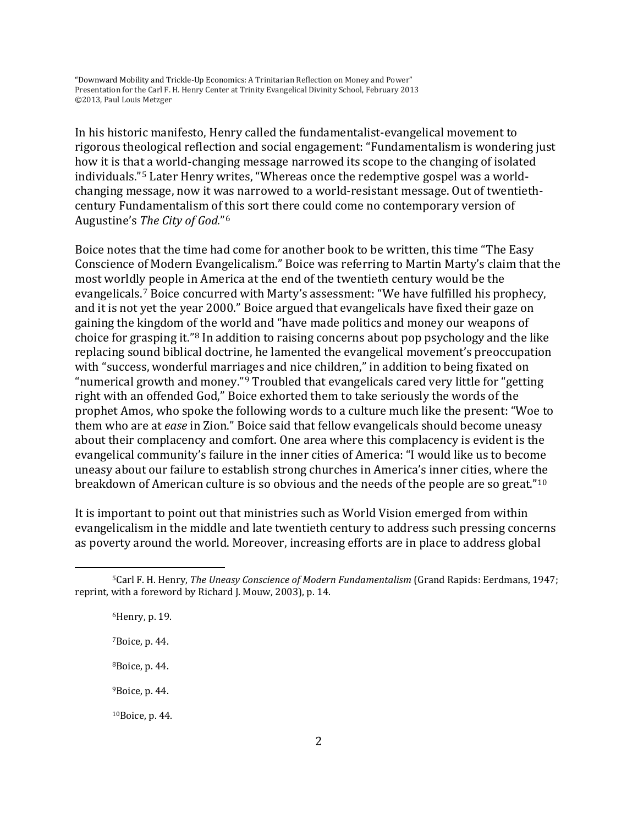In his historic manifesto, Henry called the fundamentalist-evangelical movement to rigorous theological reflection and social engagement: "Fundamentalism is wondering just how it is that a world-changing message narrowed its scope to the changing of isolated individuals."[5](#page-0-3) Later Henry writes, "Whereas once the redemptive gospel was a worldchanging message, now it was narrowed to a world-resistant message. Out of twentiethcentury Fundamentalism of this sort there could come no contemporary version of Augustine's *The City of God.*"[6](#page-1-0)

Boice notes that the time had come for another book to be written, this time "The Easy Conscience of Modern Evangelicalism." Boice was referring to Martin Marty's claim that the most worldly people in America at the end of the twentieth century would be the evangelicals.[7](#page-1-1) Boice concurred with Marty's assessment: "We have fulfilled his prophecy, and it is not yet the year 2000." Boice argued that evangelicals have fixed their gaze on gaining the kingdom o[f](#page-1-2) the world and "have made politics and money our weapons of choice for grasping it."8 In addition to raising concerns about pop psychology and the like replacing sound biblical doctrine, he lamented the evangelical movement's preoccupation with "success, wonderful marri[ag](#page-1-3)es and nice children," in addition to being fixated on "numerical growth and money."9 Troubled that evangelicals cared very little for "getting right with an offended God," Boice exhorted them to take seriously the words of the prophet Amos, who spoke the following words to a culture much like the present: "Woe to them who are at *ease* in Zion." Boice said that fellow evangelicals should become uneasy about their complacency and comfort. One area where this complacency is evident is the evangelical community's failure in the inner cities of America: "I would like us to become uneasy about our failure to establish strong churches in America's inner cities, where the breakdown of American culture is so obvious and the needs of the people are so great."[10](#page-1-4)

<span id="page-1-5"></span>It is important to point out that ministries such as World Vision emerged from within evangelicalism in the middle and late twentieth century to address such pressing concerns as poverty around the world. Moreover, increasing efforts are in place to address global

<span id="page-1-4"></span><span id="page-1-3"></span>6Henry, p. 19. 7Boice, p. 44. 8Boice, p. 44. 9Boice, p. 44. 10Boice, p. 44.

<span id="page-1-2"></span><span id="page-1-1"></span><span id="page-1-0"></span><sup>5</sup>Carl F. H. Henry, *The Uneasy Conscience of Modern Fundamentalism* (Grand Rapids: Eerdmans, 1947; reprint, with a foreword by Richard J. Mouw, 2003), p. 14.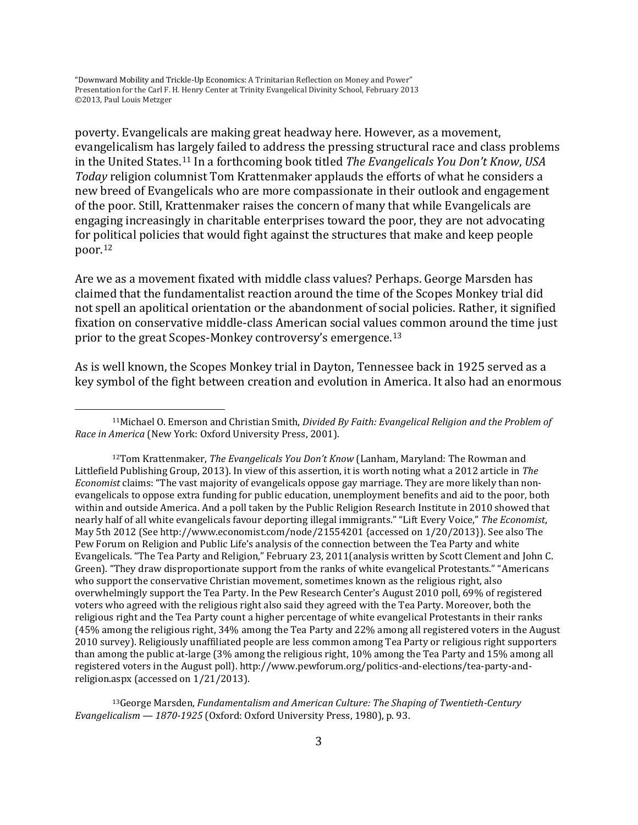l

poverty. Evangelicals are making great headway here. However, as a movement, evangelicalism has largely failed to address the pressing structural race and class problems in the United States.[11](#page-1-5) In a forthcoming book titled *The Evangelicals You Don't Know*, *USA Today* religion columnist Tom Krattenmaker applauds the efforts of what he considers a new breed of Evangelicals who are more compassionate in their outlook and engagement of the poor. Still, Krattenmaker raises the concern of many that while Evangelicals are engaging increasingly in charitable enterprises toward the poor, they are not advocating for political policies that would fight against the structures that make and keep people poor.[12](#page-2-0)

Are we as a movement fixated with middle class values? Perhaps. George Marsden has claimed that the fundamentalist reaction around the time of the Scopes Monkey trial did not spell an apolitical orientation or the abandonment of social policies. Rather, it signified fixation on conservative middle-class American social values common around the time just prior to the great Scopes-Monkey controversy's emergence.[13](#page-2-1)

As is well known, the Scopes Monkey trial in Dayton, Tennessee back in 1925 served as a key symbol of the fight between creation and evolution in America. It also had an enormous

<span id="page-2-2"></span><span id="page-2-1"></span>13George Marsden, *Fundamentalism and American Culture: The Shaping of Twentieth-Century Evangelicalism — 1870-1925* (Oxford: Oxford University Press, 1980), p. 93.

<sup>11</sup>Michael O. Emerson and Christian Smith, *Divided By Faith: Evangelical Religion and the Problem of Race in America* (New York: Oxford University Press, 2001).

<span id="page-2-0"></span><sup>12</sup>Tom Krattenmaker, *The Evangelicals You Don't Know* (Lanham, Maryland: The Rowman and Littlefield Publishing Group, 2013). In view of this assertion, it is worth noting what a 2012 article in *The Economist* claims: "The vast majority of evangelicals oppose gay marriage. They are more likely than nonevangelicals to oppose extra funding for public education, unemployment benefits and aid to the poor, both within and outside America. And a poll taken by the Public Religion Research Institute in 2010 showed that nearly half of all white evangelicals favour deporting illegal immigrants." "Lift Every Voice," *The Economist*, May 5th 2012 (See http://www.economist.com/node/21554201 {accessed on 1/20/2013}). See also The Pew Forum on Religion and Public Life's analysis of the connection between the Tea Party and white Evangelicals. "The Tea Party and Religion," February 23, 2011(analysis written by Scott Clement and John C. Green). "They draw disproportionate support from the ranks of white evangelical Protestants." "Americans who support the conservative Christian movement, sometimes known as the religious right, also overwhelmingly support the Tea Party. In the Pew Research Center's August 2010 poll, 69% of registered voters who agreed with the religious right also said they agreed with the Tea Party. Moreover, both the religious right and the Tea Party count a higher percentage of white evangelical Protestants in their ranks (45% among the religious right, 34% among the Tea Party and 22% among all registered voters in the August 2010 survey). Religiously unaffiliated people are less common among Tea Party or religious right supporters than among the public at-large (3% among the religious right, 10% among the Tea Party and 15% among all registered voters in the August poll)[. http://www.pewforum.org/politics-and-elections/tea-party-and](http://www.pewforum.org/politics-and-elections/tea-party-and-religion.aspx)[religion.aspx](http://www.pewforum.org/politics-and-elections/tea-party-and-religion.aspx) (accessed on 1/21/2013).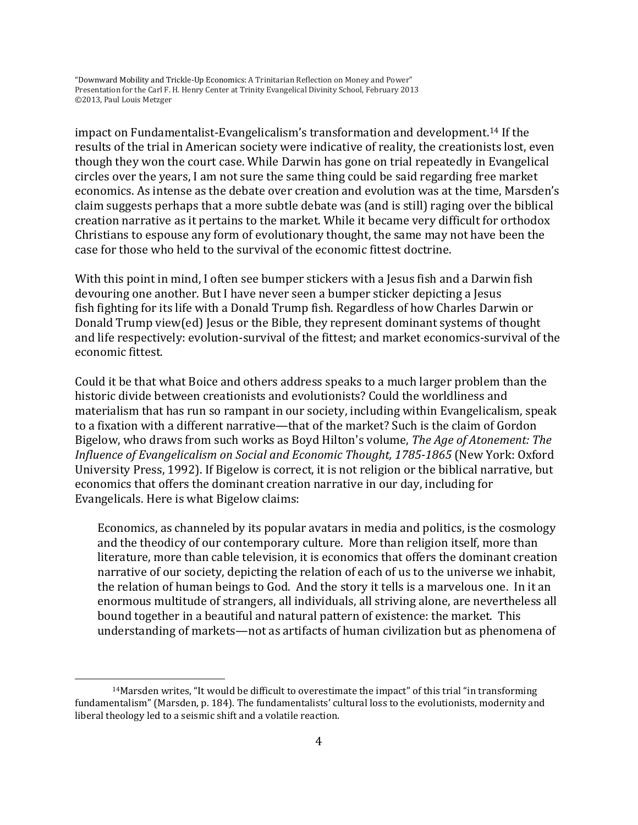impact on Fundamentalist-Evangelicalism's transformation and development.[14](#page-2-2) If the results of the trial in American society were indicative of reality, the creationists lost, even though they won the court case. While Darwin has gone on trial repeatedly in Evangelical circles over the years, I am not sure the same thing could be said regarding free market economics. As intense as the debate over creation and evolution was at the time, Marsden's claim suggests perhaps that a more subtle debate was (and is still) raging over the biblical creation narrative as it pertains to the market. While it became very difficult for orthodox Christians to espouse any form of evolutionary thought, the same may not have been the case for those who held to the survival of the economic fittest doctrine.

With this point in mind, I often see bumper stickers with a Jesus fish and a Darwin fish devouring one another. But I have never seen a bumper sticker depicting a Jesus fish fighting for its life with a Donald Trump fish. Regardless of how Charles Darwin or Donald Trump view(ed) Jesus or the Bible, they represent dominant systems of thought and life respectively: evolution-survival of the fittest; and market economics-survival of the economic fittest.

<span id="page-3-0"></span>Could it be that what Boice and others address speaks to a much larger problem than the historic divide between creationists and evolutionists? Could the worldliness and materialism that has run so rampant in our society, including within Evangelicalism, speak to a fixation with a different narrative—that of the market? Such is the claim of Gordon Bigelow, who draws from such works as Boyd Hilton's volume, *The Age of Atonement: The Influence of Evangelicalism on Social and Economic Thought, 1785-1865* (New York: Oxford University Press, 1992). If Bigelow is correct, it is not religion or the biblical narrative, but economics that offers the dominant creation narrative in our day, including for Evangelicals. Here is what Bigelow claims:

Economics, as channeled by its popular avatars in media and politics, is the cosmology and the theodicy of our contemporary culture. More than religion itself, more than literature, more than cable television, it is economics that offers the dominant creation narrative of our society, depicting the relation of each of us to the universe we inhabit, the relation of human beings to God. And the story it tells is a marvelous one. In it an enormous multitude of strangers, all individuals, all striving alone, are nevertheless all bound together in a beautiful and natural pattern of existence: the market. This understanding of markets—not as artifacts of human civilization but as phenomena of

<sup>14</sup>Marsden writes, "It would be difficult to overestimate the impact" of this trial "in transforming fundamentalism" (Marsden, p. 184). The fundamentalists' cultural loss to the evolutionists, modernity and liberal theology led to a seismic shift and a volatile reaction.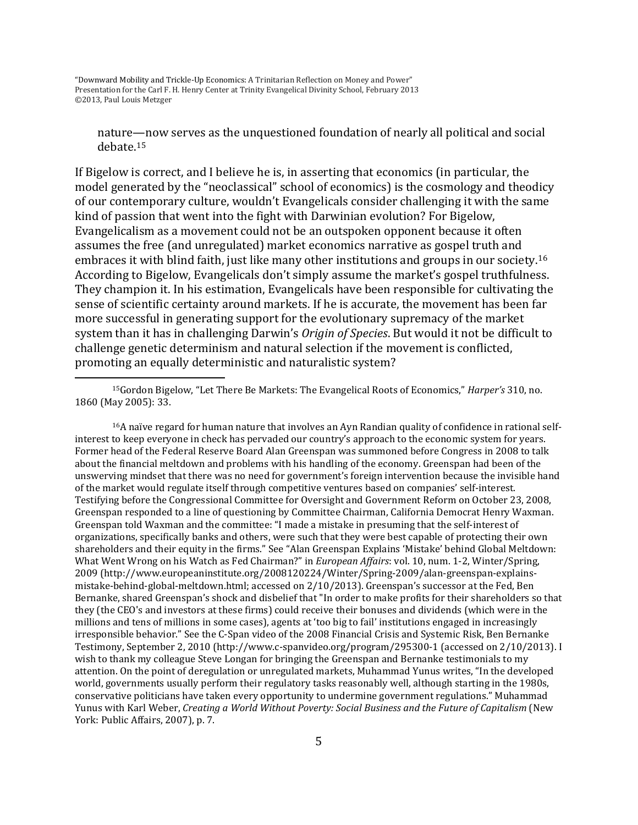$\overline{\phantom{a}}$ 

nature—now serves as the unquestioned foundation of nearly all political and social debate.[15](#page-3-0)

If Bigelow is correct, and I believe he is, in asserting that economics (in particular, the model generated by the "neoclassical" school of economics) is the cosmology and theodicy of our contemporary culture, wouldn't Evangelicals consider challenging it with the same kind of passion that went into the fight with Darwinian evolution? For Bigelow, Evangelicalism as a movement could not be an outspoken opponent because it often assumes the free (and unregulated) market economics narrative as gospel truth and embraces it with blind faith, just like many other institutions and groups in our society.[16](#page-4-0) According to Bigelow, Evangelicals don't simply assume the market's gospel truthfulness. They champion it. In his estimation, Evangelicals have been responsible for cultivating the sense of scientific certainty around markets. If he is accurate, the movement has been far more successful in generating support for the evolutionary supremacy of the market system than it has in challenging Darwin's *Origin of Species*. But would it not be difficult to challenge genetic determinism and natural selection if the movement is conflicted, promoting an equally deterministic and naturalistic system?

15Gordon Bigelow, "Let There Be Markets: The Evangelical Roots of Economics," *Harper's* 310, no. 1860 (May 2005): 33.

<span id="page-4-1"></span><span id="page-4-0"></span>16A naïve regard for human nature that involves an Ayn Randian quality of confidence in rational selfinterest to keep everyone in check has pervaded our country's approach to the economic system for years. Former head of the Federal Reserve Board Alan Greenspan was summoned before Congress in 2008 to talk about the financial meltdown and problems with his handling of the economy. Greenspan had been of the unswerving mindset that there was no need for government's foreign intervention because the invisible hand of the market would regulate itself through competitive ventures based on companies' self-interest. Testifying before the Congressional Committee for Oversight and Government Reform on October 23, 2008, Greenspan responded to a line of questioning by Committee Chairman, California Democrat Henry Waxman. Greenspan told Waxman and the committee: "I made a mistake in presuming that the self-interest of organizations, specifically banks and others, were such that they were best capable of protecting their own shareholders and their equity in the firms." See "Alan Greenspan Explains 'Mistake' behind Global Meltdown: What Went Wrong on his Watch as Fed Chairman?" in *European Affairs*: vol. 10, num. 1-2, Winter/Spring, 2009 (http://www.europeaninstitute.org/2008120224/Winter/Spring-2009/alan-greenspan-explainsmistake-behind-global-meltdown.html; accessed on 2/10/2013). Greenspan's successor at the Fed, Ben Bernanke, shared Greenspan's shock and disbelief that "In order to make profits for their shareholders so that they (the CEO's and investors at these firms) could receive their bonuses and dividends (which were in the millions and tens of millions in some cases), agents at 'too big to fail' institutions engaged in increasingly irresponsible behavior." See the C-Span video of the 2008 Financial Crisis and Systemic Risk, Ben Bernanke Testimony, September 2, 2010 (http://www.c-spanvideo.org/program/295300-1 (accessed on 2/10/2013). I wish to thank my colleague Steve Longan for bringing the Greenspan and Bernanke testimonials to my attention. On the point of deregulation or unregulated markets, Muhammad Yunus writes, "In the developed world, governments usually perform their regulatory tasks reasonably well, although starting in the 1980s, conservative politicians have taken every opportunity to undermine government regulations." Muhammad Yunus with Karl Weber, *Creating a World Without Poverty: Social Business and the Future of Capitalism* (New York: Public Affairs, 2007), p. 7.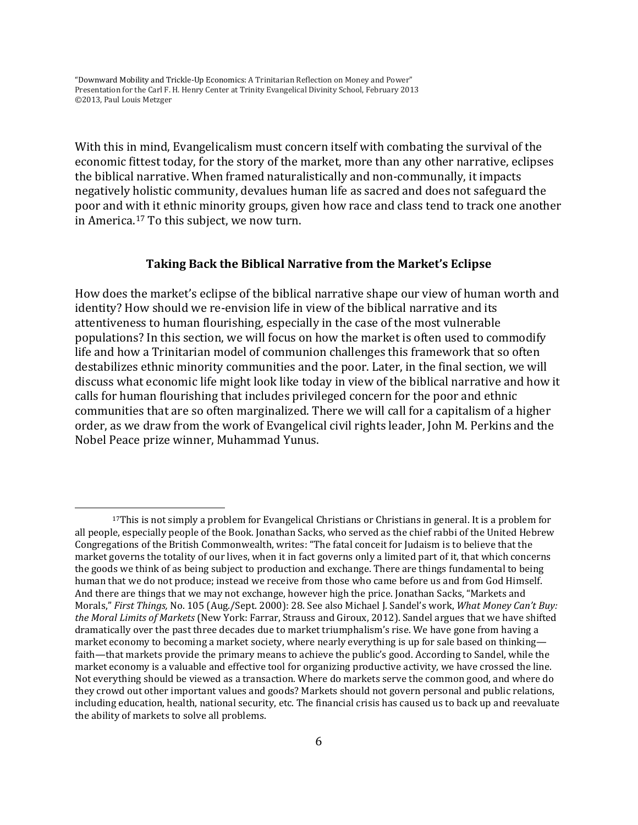$\overline{\phantom{a}}$ 

With this in mind, Evangelicalism must concern itself with combating the survival of the economic fittest today, for the story of the market, more than any other narrative, eclipses the biblical narrative. When framed naturalistically and non-communally, it impacts negatively holistic community, devalues human life as sacred and does not safeguard the poor and with it ethnic minority groups, given how race and class tend to track one another in America.[17](#page-4-1) To this subject, we now turn.

### **Taking Back the Biblical Narrative from the Market's Eclipse**

<span id="page-5-0"></span>How does the market's eclipse of the biblical narrative shape our view of human worth and identity? How should we re-envision life in view of the biblical narrative and its attentiveness to human flourishing, especially in the case of the most vulnerable populations? In this section, we will focus on how the market is often used to commodify life and how a Trinitarian model of communion challenges this framework that so often destabilizes ethnic minority communities and the poor. Later, in the final section, we will discuss what economic life might look like today in view of the biblical narrative and how it calls for human flourishing that includes privileged concern for the poor and ethnic communities that are so often marginalized. There we will call for a capitalism of a higher order, as we draw from the work of Evangelical civil rights leader, John M. Perkins and the Nobel Peace prize winner, Muhammad Yunus.

<sup>17</sup>This is not simply a problem for Evangelical Christians or Christians in general. It is a problem for all people, especially people of the Book. Jonathan Sacks, who served as the chief rabbi of the United Hebrew Congregations of the British Commonwealth, writes: "The fatal conceit for Judaism is to believe that the market governs the totality of our lives, when it in fact governs only a limited part of it, that which concerns the goods we think of as being subject to production and exchange. There are things fundamental to being human that we do not produce; instead we receive from those who came before us and from God Himself. And there are things that we may not exchange, however high the price. Jonathan Sacks, "Markets and Morals," *First Things,* No. 105 (Aug./Sept. 2000): 28. See also Michael J. Sandel's work, *What Money Can't Buy: the Moral Limits of Markets* (New York: Farrar, Strauss and Giroux, 2012). Sandel argues that we have shifted dramatically over the past three decades due to market triumphalism's rise. We have gone from having a market economy to becoming a market society, where nearly everything is up for sale based on thinking faith—that markets provide the primary means to achieve the public's good. According to Sandel, while the market economy is a valuable and effective tool for organizing productive activity, we have crossed the line. Not everything should be viewed as a transaction. Where do markets serve the common good, and where do they crowd out other important values and goods? Markets should not govern personal and public relations, including education, health, national security, etc. The financial crisis has caused us to back up and reevaluate the ability of markets to solve all problems.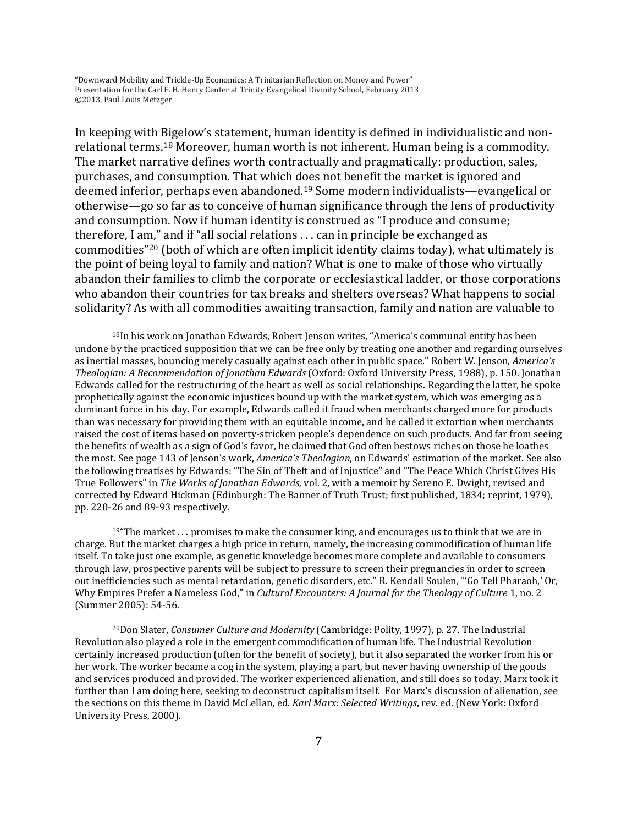l

<span id="page-6-2"></span>In keeping with [Big](#page-5-0)elow's statement, human identity is defined in individualistic and nonrelational terms. <sup>18</sup> Moreover, human worth is not inherent. Human being is a commodity. The market narrative defines worth contractually and pragmatically: production, sales, purchases, and consumption. That which does not benefit the market is ignored and deemed inferior, perhaps even abandoned[.19](#page-6-0) Some modern individualists—evangelical or otherwise—go so far as to conceive of human significance through the lens of productivity and consumption. Now if human identity is construed as "I produce and consume; therefore, I am," and if "all social relations . . . can in principle be exchanged as commodities"[20](#page-6-1) (both of which are often implicit identity claims today), what ultimately is the point of being loyal to family and nation? What is one to make of those who virtually abandon their families to climb the corporate or ecclesiastical ladder, or those corporations who abandon their countries for tax breaks and shelters overseas? What happens to social solidarity? As with all commodities awaiting transaction, family and nation are valuable to

<span id="page-6-0"></span> $19^{\mu}$ The market . . . promises to make the consumer king, and encourages us to think that we are in charge. But the market charges a high price in return, namely, the increasing commodification of human life itself. To take just one example, as genetic knowledge becomes more complete and available to consumers through law, prospective parents will be subject to pressure to screen their pregnancies in order to screen out inefficiencies such as mental retardation, genetic disorders, etc." R. Kendall Soulen, "'Go Tell Pharaoh,' Or, Why Empires Prefer a Nameless God," in *Cultural Encounters: A Journal for the Theology of Culture* 1, no. 2 (Summer 2005): 54-56.

<span id="page-6-1"></span>20Don Slater, *Consumer Culture and Modernity* (Cambridge: Polity, 1997), p. 27. The Industrial Revolution also played a role in the emergent commodification of human life. The Industrial Revolution certainly increased production (often for the benefit of society), but it also separated the worker from his or her work. The worker became a cog in the system, playing a part, but never having ownership of the goods and services produced and provided. The worker experienced alienation, and still does so today. Marx took it further than I am doing here, seeking to deconstruct capitalism itself. For Marx's discussion of alienation, see the sections on this theme in David McLellan, ed. *Karl Marx: Selected Writings*, rev. ed. (New York: Oxford University Press, 2000).

<sup>&</sup>lt;sup>18</sup>In his work on Jonathan Edwards, Robert Jenson writes, "America's communal entity has been undone by the practiced supposition that we can be free only by treating one another and regarding ourselves as inertial masses, bouncing merely casually against each other in public space." Robert W. Jenson, *America's Theologian: A Recommendation of Jonathan Edwards* (Oxford: Oxford University Press, 1988), p. 150. Jonathan Edwards called for the restructuring of the heart as well as social relationships. Regarding the latter, he spoke prophetically against the economic injustices bound up with the market system, which was emerging as a dominant force in his day. For example, Edwards called it fraud when merchants charged more for products than was necessary for providing them with an equitable income, and he called it extortion when merchants raised the cost of items based on poverty-stricken people's dependence on such products. And far from seeing the benefits of wealth as a sign of God's favor, he claimed that God often bestows riches on those he loathes the most. See page 143 of Jenson's work, *America's Theologian*, on Edwards' estimation of the market. See also the following treatises by Edwards: "The Sin of Theft and of Injustice" and "The Peace Which Christ Gives His True Followers" in *The Works of Jonathan Edwards,* vol. 2, with a memoir by Sereno E. Dwight, revised and corrected by Edward Hickman (Edinburgh: The Banner of Truth Trust; first published, 1834; reprint, 1979), pp. 220-26 and 89-93 respectively.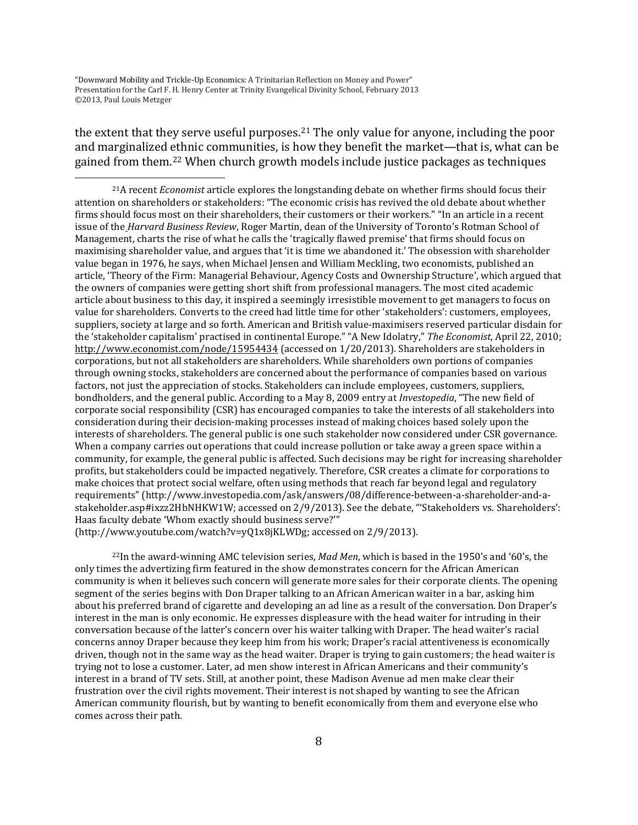$\overline{\phantom{a}}$ 

the extent that they serve useful purposes.[21](#page-6-2) The only value for anyone, including the poor and marginalized ethnic communities, is how they benefit the market—that is, what can be gained from them.[22](#page-7-0) When church growth models include justice packages as techniques

21A recent *Economist* article explores the longstanding debate on whether firms should focus their attention on shareholders or stakeholders: "The economic crisis has revived the old debate about whether firms should focus most on their shareholders, their customers or their workers." "In an article in a recent issue of the *Harvard Business Review*, Roger Martin, dean of the University of Toronto's Rotman School of Management, charts the rise of what he calls the 'tragically flawed premise' that firms should focus on maximising shareholder value, and argues that 'it is time we abandoned it.' The obsession with shareholder value began in 1976, he says, when Michael Jensen and William Meckling, two economists, published an article, 'Theory of the Firm: Managerial Behaviour, Agency Costs and Ownership Structure', which argued that the owners of companies were getting short shift from professional managers. The most cited academic article about business to this day, it inspired a seemingly irresistible movement to get managers to focus on value for shareholders. Converts to the creed had little time for other 'stakeholders': customers, employees, suppliers, society at large and so forth. American and British value-maximisers reserved particular disdain for the 'stakeholder capitalism' practised in continental Europe." "A New Idolatry," *The Economist*, April 22, 2010; <http://www.economist.com/node/15954434> (accessed on 1/20/2013). Shareholders are stakeholders in corporations, but not all stakeholders are shareholders. While shareholders own portions of companies through owning stocks, stakeholders are concerned about the performance of companies based on various factors, not just the appreciation of stocks. Stakeholders can include employees, customers, suppliers, bondholders, and the general public. According to a May 8, 2009 entry at *Investopedia*, "The new field of corporate social responsibility (CSR) has encouraged companies to take the interests of all stakeholders into consideration during their decision-making processes instead of making choices based solely upon the interests of shareholders. The general public is one such stakeholder now considered under CSR governance. When a company carries out operations that could increase pollution or take away a green space within a community, for example, the general public is affected. Such decisions may be right for increasing shareholder profits, but stakeholders could be impacted negatively. Therefore, CSR creates a climate for corporations to make choices that protect social welfare, often using methods that reach far beyond legal and regulatory requirements" (http://www.investopedia.com/ask/answers/08/difference-between-a-shareholder-and-astakeholder.asp#ixzz2HbNHKW1W; accessed on 2/9/2013). See the debate, "'Stakeholders vs. Shareholders': Haas faculty debate 'Whom exactly should business serve?'"

<span id="page-7-1"></span>(http://www.youtube.com/watch?v=yQ1x8jKLWDg; accessed on 2/9/2013).

<span id="page-7-0"></span>22In the award-winning AMC television series, *Mad Men*, which is based in the 1950's and '60's, the only times the advertizing firm featured in the show demonstrates concern for the African American community is when it believes such concern will generate more sales for their corporate clients. The opening segment of the series begins with Don Draper talking to an African American waiter in a bar, asking him about his preferred brand of cigarette and developing an ad line as a result of the conversation. Don Draper's interest in the man is only economic. He expresses displeasure with the head waiter for intruding in their conversation because of the latter's concern over his waiter talking with Draper. The head waiter's racial concerns annoy Draper because they keep him from his work; Draper's racial attentiveness is economically driven, though not in the same way as the head waiter. Draper is trying to gain customers; the head waiter is trying not to lose a customer. Later, ad men show interest in African Americans and their community's interest in a brand of TV sets. Still, at another point, these Madison Avenue ad men make clear their frustration over the civil rights movement. Their interest is not shaped by wanting to see the African American community flourish, but by wanting to benefit economically from them and everyone else who comes across their path.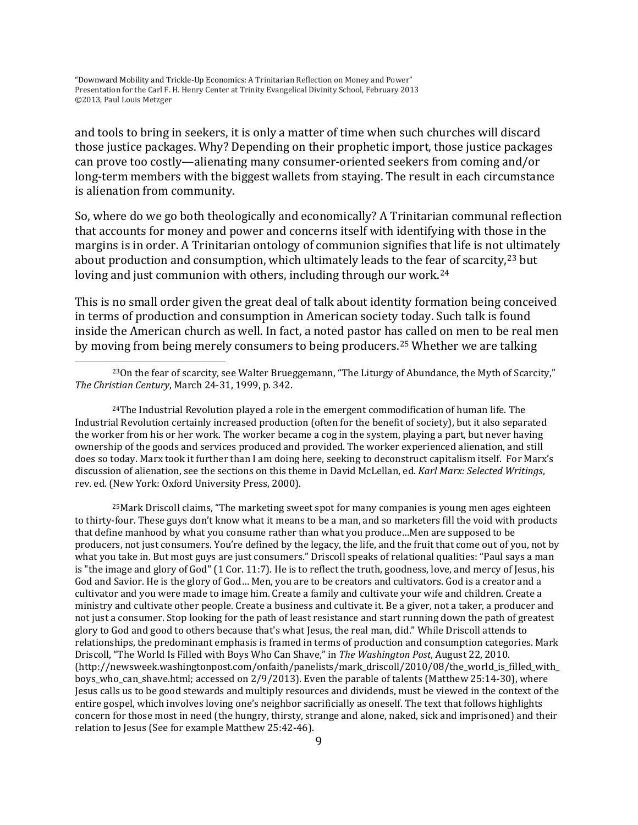$\overline{\phantom{a}}$ 

and tools to bring in seekers, it is only a matter of time when such churches will discard those justice packages. Why? Depending on their prophetic import, those justice packages can prove too costly—alienating many consumer-oriented seekers from coming and/or long-term members with the biggest wallets from staying. The result in each circumstance is alienation from community.

So, where do we go both theologically and economically? A Trinitarian communal reflection that accounts for money and power and concerns itself with identifying with those in the margins is in order. A Trinitarian ontology of communion signifies that life is not ultimately about production and consumption, which ultimately leads to the fe[ar o](#page-8-0)f scarcity,<sup>[23](#page-7-1)</sup> but loving and just communion with others, including through our work.<sup>24</sup>

This is no small order given the great deal of talk about identity formation being conceived in terms of production and consumption in American society today. Such talk is found inside the American church as well. In fact, a noted pastor has called on men to be real men by moving from being merely consumers to being producers.[25](#page-8-1) Whether we are talking

<span id="page-8-0"></span> $24$ The Industrial Revolution played a role in the emergent commodification of human life. The Industrial Revolution certainly increased production (often for the benefit of society), but it also separated the worker from his or her work. The worker became a cog in the system, playing a part, but never having ownership of the goods and services produced and provided. The worker experienced alienation, and still does so today. Marx took it further than I am doing here, seeking to deconstruct capitalism itself. For Marx's discussion of alienation, see the sections on this theme in David McLellan, ed. *Karl Marx: Selected Writings*, rev. ed. (New York: Oxford University Press, 2000).

<span id="page-8-2"></span><span id="page-8-1"></span>25Mark Driscoll claims, "The marketing sweet spot for many companies is young men ages eighteen to thirty-four. These guys don't know what it means to be a man, and so marketers fill the void with products that define manhood by what you consume rather than what you produce…Men are supposed to be producers, not just consumers. You're defined by the legacy, the life, and the fruit that come out of you, not by what you take in. But most guys are just consumers." Driscoll speaks of relational qualities: "Paul says a man is "the image and glory of God" (1 Cor. 11:7). He is to reflect the truth, goodness, love, and mercy of Jesus, his God and Savior. He is the glory of God… Men, you are to be creators and cultivators. God is a creator and a cultivator and you were made to image him. Create a family and cultivate your wife and children. Create a ministry and cultivate other people. Create a business and cultivate it. Be a giver, not a taker, a producer and not just a consumer. Stop looking for the path of least resistance and start running down the path of greatest glory to God and good to others because that's what Jesus, the real man, did." While Driscoll attends to relationships, the predominant emphasis is framed in terms of production and consumption categories. Mark Driscoll, "The World Is Filled with Boys Who Can Shave," in *The Washington Post*, August 22, 2010. (http://newsweek.washingtonpost.com/onfaith/panelists/mark\_driscoll/2010/08/the\_world\_is\_filled\_with\_ boys who can shave.html; accessed on 2/9/2013). Even the parable of talents (Matthew 25:14-30), where Jesus calls us to be good stewards and multiply resources and dividends, must be viewed in the context of the entire gospel, which involves loving one's neighbor sacrificially as oneself. The text that follows highlights concern for those most in need (the hungry, thirsty, strange and alone, naked, sick and imprisoned) and their relation to Jesus (See for example Matthew 25:42-46).

 $23$ On the fear of scarcity, see Walter Brueggemann, "The Liturgy of Abundance, the Myth of Scarcity," *The Christian Century*, March 24-31, 1999, p. 342.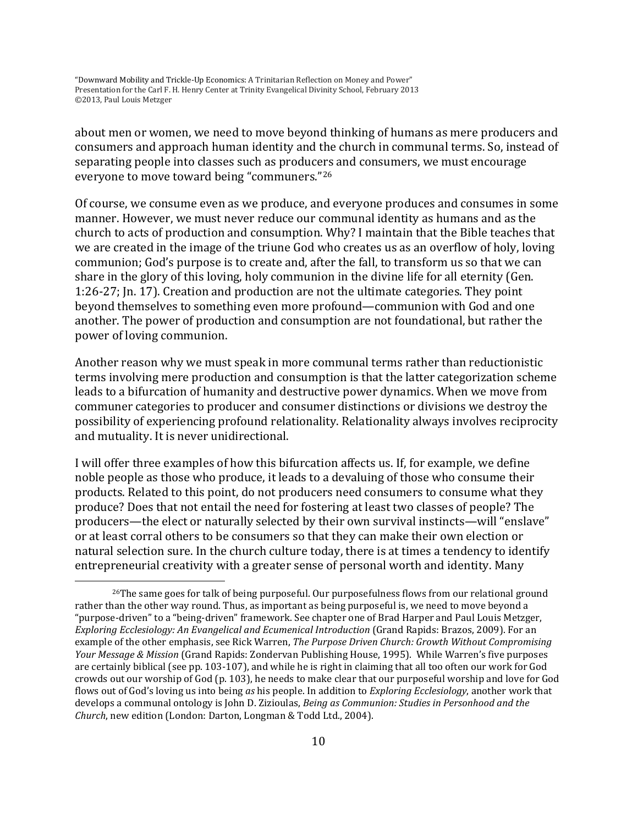about men or women, we need to move beyond thinking of humans as mere producers and consumers and approach human identity and the church in communal terms. So, instead of separating people into classes such as producers and consumers, we must encourage everyone to move toward being "communers."[26](#page-8-2)

Of course, we consume even as we produce, and everyone produces and consumes in some manner. However, we must never reduce our communal identity as humans and as the church to acts of production and consumption. Why? I maintain that the Bible teaches that we are created in the image of the triune God who creates us as an overflow of holy, loving communion; God's purpose is to create and, after the fall, to transform us so that we can share in the glory of this loving, holy communion in the divine life for all eternity (Gen. 1:26-27; Jn. 17). Creation and production are not the ultimate categories. They point beyond themselves to something even more profound—communion with God and one another. The power of production and consumption are not foundational, but rather the power of loving communion.

Another reason why we must speak in more communal terms rather than reductionistic terms involving mere production and consumption is that the latter categorization scheme leads to a bifurcation of humanity and destructive power dynamics. When we move from communer categories to producer and consumer distinctions or divisions we destroy the possibility of experiencing profound relationality. Relationality always involves reciprocity and mutuality. It is never unidirectional.

I will offer three examples of how this bifurcation affects us. If, for example, we define noble people as those who produce, it leads to a devaluing of those who consume their products. Related to this point, do not producers need consumers to consume what they produce? Does that not entail the need for fostering at least two classes of people? The producers—the elect or naturally selected by their own survival instincts—will "enslave" or at least corral others to be consumers so that they can make their own election or natural selection sure. In the church culture today, there is at times a tendency to identify entrepreneurial creativity with a greater sense of personal worth and identity. Many

<span id="page-9-0"></span> $26$ The same goes for talk of being purposeful. Our purposefulness flows from our relational ground rather than the other way round. Thus, as important as being purposeful is, we need to move beyond a "purpose-driven" to a "being-driven" framework. See chapter one of Brad Harper and Paul Louis Metzger, *Exploring Ecclesiology: An Evangelical and Ecumenical Introduction* (Grand Rapids: Brazos, 2009). For an example of the other emphasis, see Rick Warren, *The Purpose Driven Church: Growth Without Compromising Your Message & Mission* (Grand Rapids: Zondervan Publishing House, 1995). While Warren's five purposes are certainly biblical (see pp. 103-107), and while he is right in claiming that all too often our work for God crowds out our worship of God (p. 103), he needs to make clear that our purposeful worship and love for God flows out of God's loving us into being *as* his people. In addition to *Exploring Ecclesiology*, another work that develops a communal ontology is John D. Zizioulas, *Being as Communion: Studies in Personhood and the Church*, new edition (London: Darton, Longman & Todd Ltd., 2004).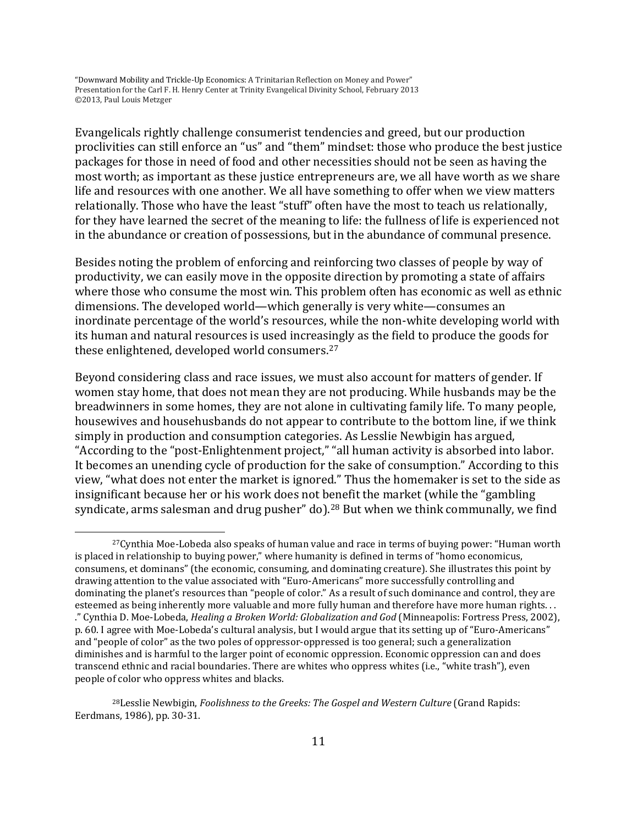Evangelicals rightly challenge consumerist tendencies and greed, but our production proclivities can still enforce an "us" and "them" mindset: those who produce the best justice packages for those in need of food and other necessities should not be seen as having the most worth; as important as these justice entrepreneurs are, we all have worth as we share life and resources with one another. We all have something to offer when we view matters relationally. Those who have the least "stuff" often have the most to teach us relationally, for they have learned the secret of the meaning to life: the fullness of life is experienced not in the abundance or creation of possessions, but in the abundance of communal presence.

Besides noting the problem of enforcing and reinforcing two classes of people by way of productivity, we can easily move in the opposite direction by promoting a state of affairs where those who consume the most win. This problem often has economic as well as ethnic dimensions. The developed world—which generally is very white—consumes an inordinate percentage of the world's resources, while the non-white developing world with its human and natural resources is used increasingly as the field to produce the goods for these enlightened, developed world consumers.[27](#page-9-0)

Beyond considering class and race issues, we must also account for matters of gender. If women stay home, that does not mean they are not producing. While husbands may be the breadwinners in some homes, they are not alone in cultivating family life. To many people, housewives and househusbands do not appear to contribute to the bottom line, if we think simply in production and consumption categories. As Lesslie Newbigin has argued, "According to the "post-Enlightenment project," "all human activity is absorbed into labor. It becomes an unending cycle of production for the sake of consumption." According to this view, "what does not enter the market is ignored." Thus the homemaker is set to the side as insignificant because her or his work does not benefit the market (while the "gambling syndicate, arms salesman and drug pusher" do).<sup>[28](#page-10-0)</sup> But when we think communally, we find

<sup>27</sup>Cynthia Moe-Lobeda also speaks of human value and race in terms of buying power: "Human worth is placed in relationship to buying power," where humanity is defined in terms of "homo economicus, consumens, et dominans" (the economic, consuming, and dominating creature). She illustrates this point by drawing attention to the value associated with "Euro-Americans" more successfully controlling and dominating the planet's resources than "people of color." As a result of such dominance and control, they are esteemed as being inherently more valuable and more fully human and therefore have more human rights. . . ." Cynthia D. Moe-Lobeda, *Healing a Broken World: Globalization and God* (Minneapolis: Fortress Press, 2002), p. 60. I agree with Moe-Lobeda's cultural analysis, but I would argue that its setting up of "Euro-Americans" and "people of color" as the two poles of oppressor-oppressed is too general; such a generalization diminishes and is harmful to the larger point of economic oppression. Economic oppression can and does transcend ethnic and racial boundaries. There are whites who oppress whites (i.e., "white trash"), even people of color who oppress whites and blacks.

<span id="page-10-1"></span><span id="page-10-0"></span><sup>&</sup>lt;sup>28</sup> Lesslie Newbigin, *Foolishness to the Greeks: The Gospel and Western Culture* (Grand Rapids: Eerdmans, 1986), pp. 30-31.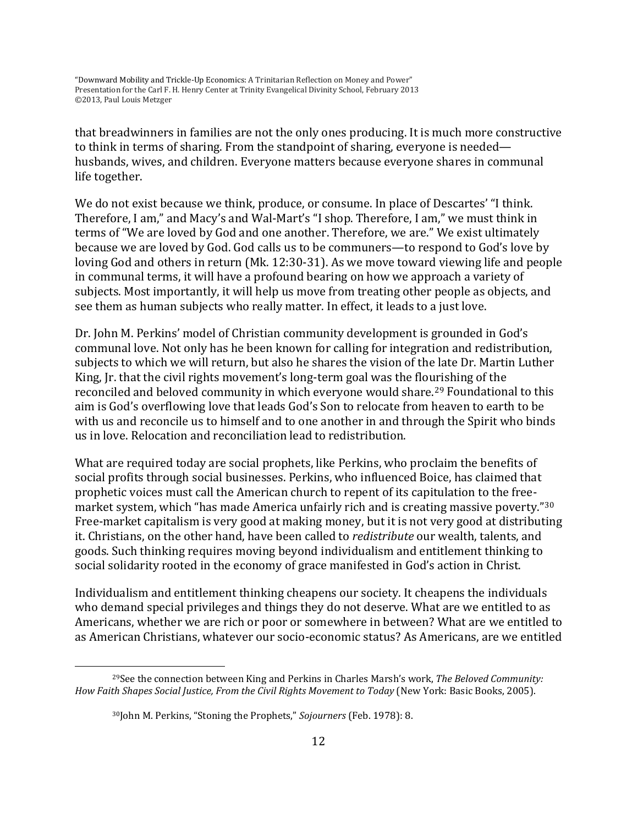that breadwinners in families are not the only ones producing. It is much more constructive to think in terms of sharing. From the standpoint of sharing, everyone is needed husbands, wives, and children. Everyone matters because everyone shares in communal life together.

We do not exist because we think, produce, or consume. In place of Descartes' "I think. Therefore, I am," and Macy's and Wal-Mart's "I shop. Therefore, I am," we must think in terms of "We are loved by God and one another. Therefore, we are." We exist ultimately because we are loved by God. God calls us to be communers—to respond to God's love by loving God and others in return (Mk. 12:30-31). As we move toward viewing life and people in communal terms, it will have a profound bearing on how we approach a variety of subjects. Most importantly, it will help us move from treating other people as objects, and see them as human subjects who really matter. In effect, it leads to a just love.

Dr. John M. Perkins' model of Christian community development is grounded in God's communal love. Not only has he been known for calling for integration and redistribution, subjects to which we will return, but also he shares the vision of the late Dr. Martin Luther King, Jr. that the civil rights movement's long-term goal was the flourishing of the reconciled and beloved community in which everyone would share.<sup>[29](#page-10-1)</sup> Foundational to this aim is God's overflowing love that leads God's Son to relocate from heaven to earth to be with us and reconcile us to himself and to one another in and through the Spirit who binds us in love. Relocation and reconciliation lead to redistribution.

What are required today are social prophets, like Perkins, who proclaim the benefits of social profits through social businesses. Perkins, who influenced Boice, has claimed that prophetic voices must call the American church to repent of its capitulation to the freemarket system, which "has made America unfairly rich and is creating massive poverty."[30](#page-11-0) Free-market capitalism is very good at making money, but it is not very good at distributing it. Christians, on the other hand, have been called to *redistribute* our wealth, talents, and goods. Such thinking requires moving beyond individualism and entitlement thinking to social solidarity rooted in the economy of grace manifested in God's action in Christ.

Individualism and entitlement thinking cheapens our society. It cheapens the individuals who demand special privileges and things they do not deserve. What are we entitled to as Americans, whether we are rich or poor or somewhere in between? What are we entitled to as American Christians, whatever our socio-economic status? As Americans, are we entitled

<span id="page-11-1"></span><span id="page-11-0"></span><sup>29</sup>See the connection between King and Perkins in Charles Marsh's work, *The Beloved Community: How Faith Shapes Social Justice, From the Civil Rights Movement to Today* (New York: Basic Books, 2005).

<sup>30</sup>John M. Perkins, "Stoning the Prophets," *Sojourners* (Feb. 1978): 8.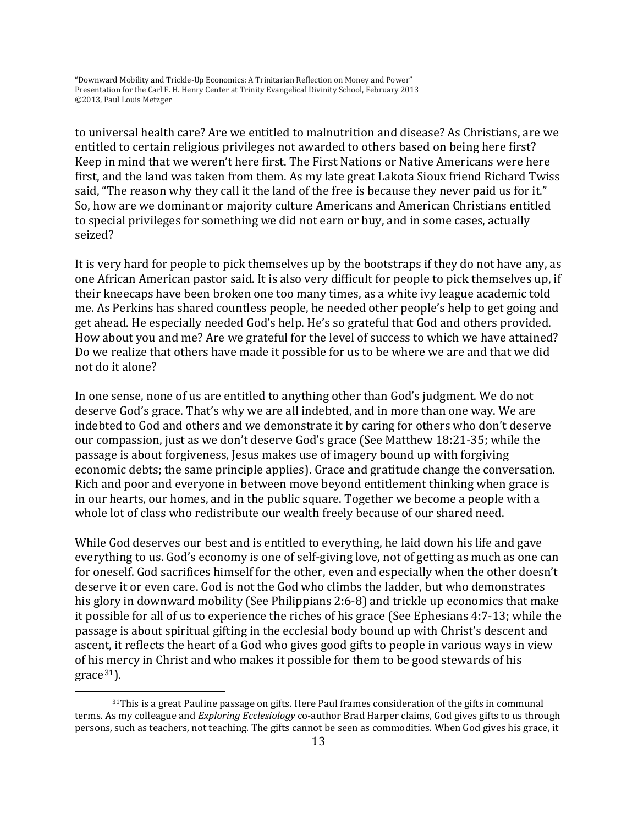to universal health care? Are we entitled to malnutrition and disease? As Christians, are we entitled to certain religious privileges not awarded to others based on being here first? Keep in mind that we weren't here first. The First Nations or Native Americans were here first, and the land was taken from them. As my late great Lakota Sioux friend Richard Twiss said, "The reason why they call it the land of the free is because they never paid us for it." So, how are we dominant or majority culture Americans and American Christians entitled to special privileges for something we did not earn or buy, and in some cases, actually seized?

It is very hard for people to pick themselves up by the bootstraps if they do not have any, as one African American pastor said. It is also very difficult for people to pick themselves up, if their kneecaps have been broken one too many times, as a white ivy league academic told me. As Perkins has shared countless people, he needed other people's help to get going and get ahead. He especially needed God's help. He's so grateful that God and others provided. How about you and me? Are we grateful for the level of success to which we have attained? Do we realize that others have made it possible for us to be where we are and that we did not do it alone?

In one sense, none of us are entitled to anything other than God's judgment. We do not deserve God's grace. That's why we are all indebted, and in more than one way. We are indebted to God and others and we demonstrate it by caring for others who don't deserve our compassion, just as we don't deserve God's grace (See Matthew 18:21-35; while the passage is about forgiveness, Jesus makes use of imagery bound up with forgiving economic debts; the same principle applies). Grace and gratitude change the conversation. Rich and poor and everyone in between move beyond entitlement thinking when grace is in our hearts, our homes, and in the public square. Together we become a people with a whole lot of class who redistribute our wealth freely because of our shared need.

<span id="page-12-0"></span>While God deserves our best and is entitled to everything, he laid down his life and gave everything to us. God's economy is one of self-giving love, not of getting as much as one can for oneself. God sacrifices himself for the other, even and especially when the other doesn't deserve it or even care. God is not the God who climbs the ladder, but who demonstrates his glory in downward mobility (See Philippians 2:6-8) and trickle up economics that make it possible for all of us to experience the riches of his grace (See Ephesians 4:7-13; while the passage is about spiritual gifting in the ecclesial body bound up with Christ's descent and ascent, it reflects the heart of a God who gives good gifts to people in various ways in view of his mercy in Christ and who makes it possible for them to be good stewards of his  $grace<sup>31</sup>$  $grace<sup>31</sup>$  $grace<sup>31</sup>$ ).

 $31$ This is a great Pauline passage on gifts. Here Paul frames consideration of the gifts in communal terms. As my colleague and *Exploring Ecclesiology* co-author Brad Harper claims, God gives gifts to us through persons, such as teachers, not teaching. The gifts cannot be seen as commodities. When God gives his grace, it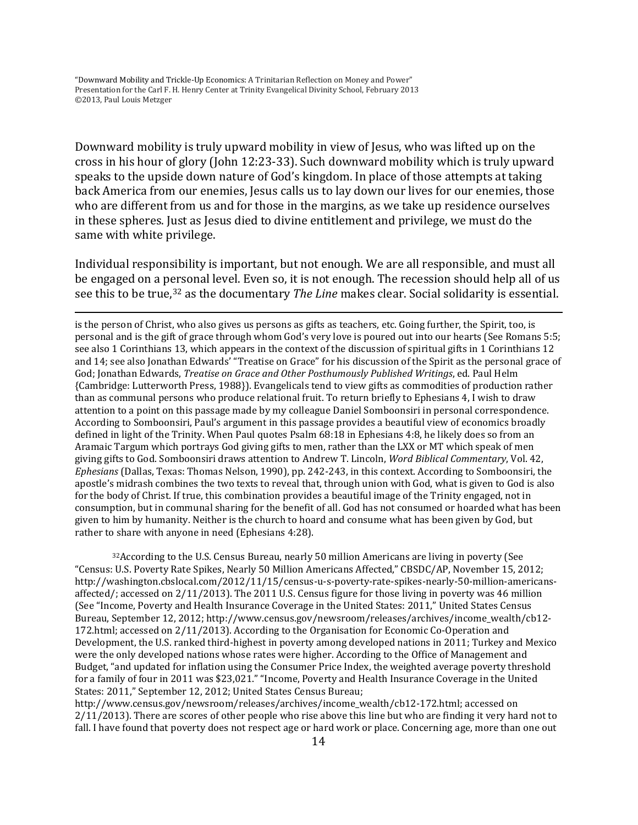$\overline{\phantom{a}}$ 

Downward mobility is truly upward mobility in view of Jesus, who was lifted up on the cross in his hour of glory (John 12:23-33). Such downward mobility which is truly upward speaks to the upside down nature of God's kingdom. In place of those attempts at taking back America from our enemies, Jesus calls us to lay down our lives for our enemies, those who are different from us and for those in the margins, as we take up residence ourselves in these spheres. Just as Jesus died to divine entitlement and privilege, we must do the same with white privilege.

Individual responsibility is important, but not enough. We are all responsible, and must all be engaged on a personal level. Even so, it is not enough. The recession should help all of us see this to be true,[32](#page-12-0) as the documentary *The Line* makes clear. Social solidarity is essential.

is the person of Christ, who also gives us persons as gifts as teachers, etc. Going further, the Spirit, too, is personal and is the gift of grace through whom God's very love is poured out into our hearts (See Romans 5:5; see also 1 Corinthians 13, which appears in the context of the discussion of spiritual gifts in 1 Corinthians 12 and 14; see also Jonathan Edwards' "Treatise on Grace" for his discussion of the Spirit as the personal grace of God; Jonathan Edwards, *Treatise on Grace and Other Posthumously Published Writings*, ed. Paul Helm {Cambridge: Lutterworth Press, 1988}). Evangelicals tend to view gifts as commodities of production rather than as communal persons who produce relational fruit. To return briefly to Ephesians 4, I wish to draw attention to a point on this passage made by my colleague Daniel Somboonsiri in personal correspondence. According to Somboonsiri, Paul's argument in this passage provides a beautiful view of economics broadly defined in light of the Trinity. When Paul quotes Psalm 68:18 in Ephesians 4:8, he likely does so from an Aramaic Targum which portrays God giving gifts to men, rather than the LXX or MT which speak of men giving gifts to God. Somboonsiri draws attention to Andrew T. Lincoln, *Word Biblical Commentary*, Vol. 42, *Ephesians* (Dallas, Texas: Thomas Nelson, 1990), pp. 242-243, in this context. According to Somboonsiri, the apostle's midrash combines the two texts to reveal that, through union with God, what is given to God is also for the body of Christ. If true, this combination provides a beautiful image of the Trinity engaged, not in consumption, but in communal sharing for the benefit of all. God has not consumed or hoarded what has been given to him by humanity. Neither is the church to hoard and consume what has been given by God, but rather to share with anyone in need (Ephesians 4:28).

<span id="page-13-0"></span>32According to the U.S. Census Bureau, nearly 50 million Americans are living in poverty (See "Census: U.S. Poverty Rate Spikes, Nearly 50 Million Americans Affected," CBSDC/AP, November 15, 2012; http://washington.cbslocal.com/2012/11/15/census-u-s-poverty-rate-spikes-nearly-50-million-americansaffected/; accessed on 2/11/2013). The 2011 U.S. Census figure for those living in poverty was 46 million (See "Income, Poverty and Health Insurance Coverage in the United States: 2011," United States Census Bureau, September 12, 2012; http://www.census.gov/newsroom/releases/archives/income\_wealth/cb12- 172.html; accessed on 2/11/2013). According to the Organisation for Economic Co-Operation and Development, the U.S. ranked third-highest in poverty among developed nations in 2011; Turkey and Mexico were the only developed nations whose rates were higher. According to the Office of Management and Budget, "and updated for inflation using the Consumer Price Index, the weighted average poverty threshold for a family of four in 2011 was \$23,021." "Income, Poverty and Health Insurance Coverage in the United States: 2011," September 12, 2012; United States Census Bureau;

http://www.census.gov/newsroom/releases/archives/income\_wealth/cb12-172.html; accessed on 2/11/2013). There are scores of other people who rise above this line but who are finding it very hard not to fall. I have found that poverty does not respect age or hard work or place. Concerning age, more than one out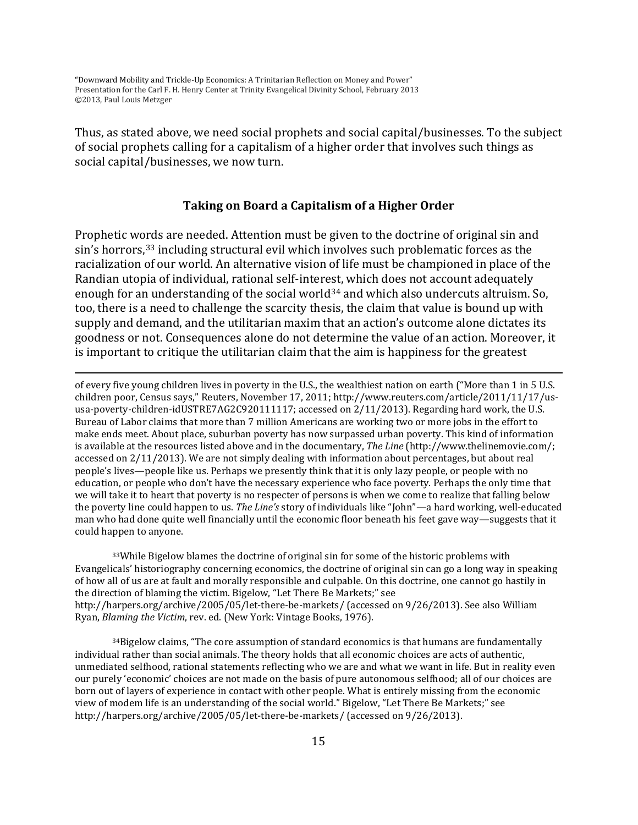l

Thus, as stated above, we need social prophets and social capital/businesses. To the subject of social prophets calling for a capitalism of a higher order that involves such things as social capital/businesses, we now turn.

#### **Taking on Board a Capitalism of a Higher Order**

Prophetic words are needed. Attention must be given to the doctrine of original sin and sin's horrors,<sup>[33](#page-13-0)</sup> including structural evil which involves such problematic forces as the racialization of our world. An alternative vision of life must be championed in place of the Randian utopia of individual, rational self-interest, which does not account adequately enough for an understanding of the social world<sup>[34](#page-14-0)</sup> and which also undercuts altruism. So, too, there is a need to challenge the scarcity thesis, the claim that value is bound up with supply and demand, and the utilitarian maxim that an action's outcome alone dictates its goodness or not. Consequences alone do not determine the value of an action. Moreover, it is important to critique the utilitarian claim that the aim is happiness for the greatest

of every five young children lives in poverty in the U.S., the wealthiest nation on earth ("More than 1 in 5 U.S. children poor, Census says," Reuters, November 17, 2011; http://www.reuters.com/article/2011/11/17/ususa-poverty-children-idUSTRE7AG2C920111117; accessed on 2/11/2013). Regarding hard work, the U.S. Bureau of Labor claims that more than 7 million Americans are working two or more jobs in the effort to make ends meet. About place, suburban poverty has now surpassed urban poverty. This kind of information is available at the resources listed above and in the documentary, *The Line* (http://www.thelinemovie.com/; accessed on 2/11/2013). We are not simply dealing with information about percentages, but about real people's lives—people like us. Perhaps we presently think that it is only lazy people, or people with no education, or people who don't have the necessary experience who face poverty. Perhaps the only time that we will take it to heart that poverty is no respecter of persons is when we come to realize that falling below the poverty line could happen to us. *The Line's* story of individuals like "John"—a hard working, well-educated man who had done quite well financially until the economic floor beneath his feet gave way—suggests that it could happen to anyone.

33While Bigelow blames the doctrine of original sin for some of the historic problems with Evangelicals' historiography concerning economics, the doctrine of original sin can go a long way in speaking of how all of us are at fault and morally responsible and culpable. On this doctrine, one cannot go hastily in the direction of blaming the victim. Bigelow, "Let There Be Markets;" see http://harpers.org/archive/2005/05/let-there-be-markets/ (accessed on 9/26/2013). See also William Ryan, *Blaming the Victim*, rev. ed. (New York: Vintage Books, 1976).

<span id="page-14-1"></span><span id="page-14-0"></span> $34$ Bigelow claims, "The core assumption of standard economics is that humans are fundamentally individual rather than social animals. The theory holds that all economic choices are acts of authentic, unmediated selfhood, rational statements reflecting who we are and what we want in life. But in reality even our purely 'economic' choices are not made on the basis of pure autonomous selfhood; all of our choices are born out of layers of experience in contact with other people. What is entirely missing from the economic view of modem life is an understanding of the social world." Bigelow, "Let There Be Markets;" see http://harpers.org/archive/2005/05/let-there-be-markets/ (accessed on 9/26/2013).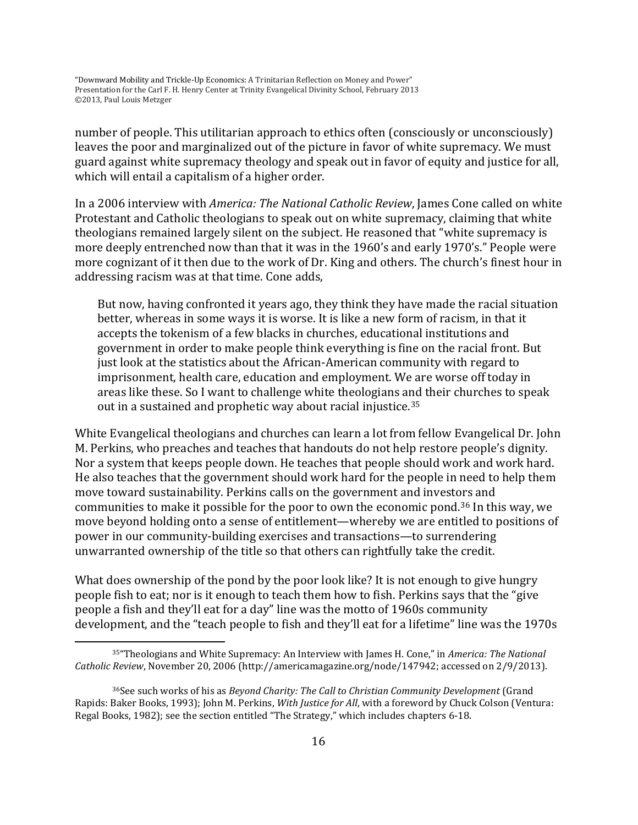number of people. This utilitarian approach to ethics often (consciously or unconsciously) leaves the poor and marginalized out of the picture in favor of white supremacy. We must guard against white supremacy theology and speak out in favor of equity and justice for all, which will entail a capitalism of a higher order.

In a 2006 interview with *America: The National Catholic Review*, James Cone called on white Protestant and Catholic theologians to speak out on white supremacy, claiming that white theologians remained largely silent on the subject. He reasoned that "white supremacy is more deeply entrenched now than that it was in the 1960's and early 1970's." People were more cognizant of it then due to the work of Dr. King and others. The church's finest hour in addressing racism was at that time. Cone adds,

But now, having confronted it years ago, they think they have made the racial situation better, whereas in some ways it is worse. It is like a new form of racism, in that it accepts the tokenism of a few blacks in churches, educational institutions and government in order to make people think everything is fine on the racial front. But just look at the statistics about the African-American community with regard to imprisonment, health care, education and employment. We are worse off today in areas like these. So I want to challenge white theologians and their churches to speak out in a sustained and prophetic way about racial injustice.<sup>[35](#page-14-1)</sup>

White Evangelical theologians and churches can learn a lot from fellow Evangelical Dr. John M. Perkins, who preaches and teaches that handouts do not help restore people's dignity. Nor a system that keeps people down. He teaches that people should work and work hard. He also teaches that the government should work hard for the people in need to help them move toward sustainability. Perkins calls on the government and investors and communities to make it possible for the poor to own the economic pond.[36](#page-15-0) In this way, we move beyond holding onto a sense of entitlement—whereby we are entitled to positions of power in our community-building exercises and transactions—to surrendering unwarranted ownership of the title so that others can rightfully take the credit.

<span id="page-15-1"></span>What does ownership of the pond by the poor look like? It is not enough to give hungry people fish to eat; nor is it enough to teach them how to fish. Perkins says that the "give people a fish and they'll eat for a day" line was the motto of 1960s community development, and the "teach people to fish and they'll eat for a lifetime" line was the 1970s

<sup>35&</sup>quot;Theologians and White Supremacy: An Interview with James H. Cone," in *America: The National Catholic Review*, [November](http://americamagazine.org/toc-past/2006-11-20) 20, 2006 (http://americamagazine.org/node/147942; accessed on 2/9/2013).

<span id="page-15-0"></span><sup>36</sup>See such works of his as *Beyond Charity: The Call to Christian Community Development* (Grand Rapids: Baker Books, 1993); John M. Perkins, *With Justice for All*, with a foreword by Chuck Colson (Ventura: Regal Books, 1982); see the section entitled "The Strategy," which includes chapters 6-18.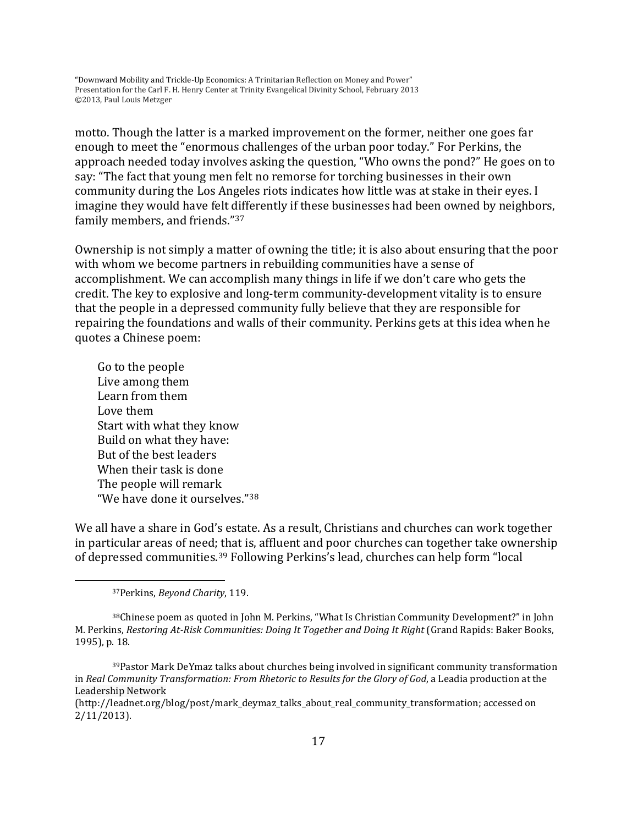motto. Though the latter is a marked improvement on the former, neither one goes far enough to meet the "enormous challenges of the urban poor today." For Perkins, the approach needed today involves asking the question, "Who owns the pond?" He goes on to say: "The fact that young men felt no remorse for torching businesses in their own community during the Los Angeles riots indicates how little was at stake in their eyes. I imagine they would have felt differently if these businesses had been owned by neighbors, family members, and friends."[37](#page-15-1)

Ownership is not simply a matter of owning the title; it is also about ensuring that the poor with whom we become partners in rebuilding communities have a sense of accomplishment. We can accomplish many things in life if we don't care who gets the credit. The key to explosive and long-term community-development vitality is to ensure that the people in a depressed community fully believe that they are responsible for repairing the foundations and walls of their community. Perkins gets at this idea when he quotes a Chinese poem:

Go to the people Live among them Learn from them Love them Start with what they know Build on what they have: But of the best leaders When their task is done The people will remark "We have done it ourselves."[38](#page-16-0)

<span id="page-16-2"></span>We all have a share in God's estate. As a result, Christians and churches can work together in particular areas of need; that is, affluent and poor churches can together take ownership of depressed communities.[39](#page-16-1) Following Perkins's lead, churches can help form "local

<sup>37</sup>Perkins, *Beyond Charity*, 119.

<span id="page-16-0"></span><sup>38</sup>Chinese poem as quoted in John M. Perkins, "What Is Christian Community Development?" in John M. Perkins, *Restoring At-Risk Communities: Doing It Together and Doing It Right* (Grand Rapids: Baker Books, 1995), p. 18.

<span id="page-16-1"></span><sup>39</sup>Pastor Mark DeYmaz talks about churches being involved in significant community transformation in *[Real Community Transformation: From Rhetoric to Results for the Glory of God](http://leadia.tv/Leadia/?p=450)*, a Leadia production at the Leadership Network

<sup>(</sup>http://leadnet.org/blog/post/mark\_deymaz\_talks\_about\_real\_community\_transformation; accessed on 2/11/2013).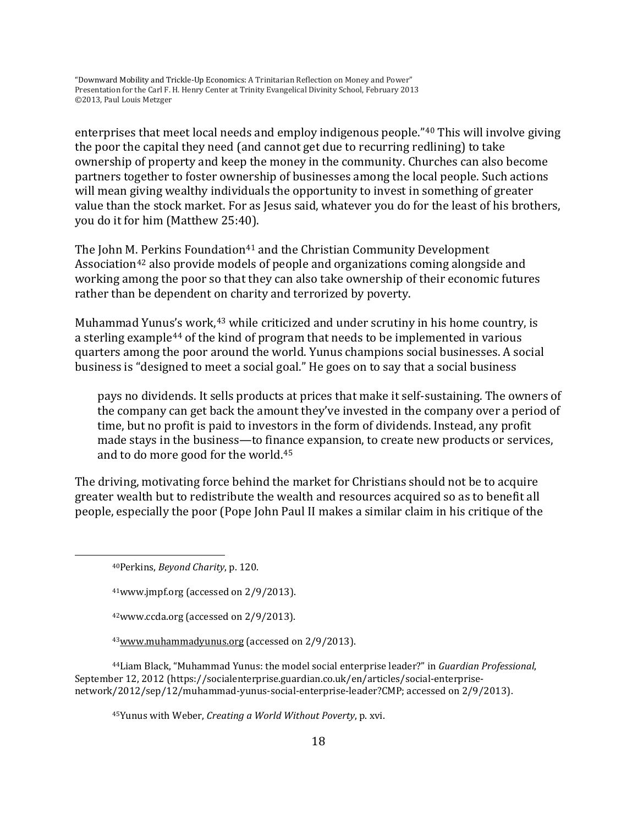enterprises that meet local needs and employ indigenous people."[40](#page-16-2) This will involve giving the poor the capital they need (and cannot get due to recurring redlining) to take ownership of property and keep the money in the community. Churches can also become partners together to foster ownership of businesses among the local people. Such actions will mean giving wealthy individuals the opportunity to invest in something of greater value than the stock market. For as Jesus said, whatever you do for the least of his brothers, you do it for him (Matthew 25:40).

The John M. Perkins Foundation<sup>[41](#page-17-0)</sup> and the Christian Community Development Association[42](#page-17-1) also provide models of people and organizations coming alongside and working among the poor so that they can also take ownership of their economic futures rather than be dependent on charity and terrorized by poverty.

Muhammad Yunu[s's](#page-17-3) work,<sup>[43](#page-17-2)</sup> while criticized and under scrutiny in his home country, is a sterling example<sup>44</sup> of the kind of program that needs to be implemented in various quarters among the poor around the world. Yunus champions social businesses. A social business is "designed to meet a social goal." He goes on to say that a social business

pays no dividends. It sells products at prices that make it self-sustaining. The owners of the company can get back the amount they've invested in the company over a period of time, but no profit is paid to investors in the form of dividends. Instead, any profit made stays in the business—to finance expansion, to create new products or services, and to do more good for the world.[45](#page-17-4)

The driving, motivating force behind the market for Christians should not be to acquire greater wealth but to redistribute the wealth and resources acquired so as to benefit all people, especially the poor (Pope John Paul II makes a similar claim in his critique of the

<span id="page-17-0"></span> $\overline{\phantom{a}}$ 

42www.ccda.org (accessed on 2/9/2013).

[43www.muhammadyunus.org](http://www.muhammadyunus.org/) (accessed on 2/9/2013).

<span id="page-17-4"></span><span id="page-17-3"></span><span id="page-17-2"></span><span id="page-17-1"></span>44Liam Black, "Muhammad Yunus: the model social enterprise leader?" in *Guardian Professional*, September 12, 2012 (https://socialenterprise.guardian.co.uk/en/articles/social-enterprisenetwork/2012/sep/12/muhammad-yunus-social-enterprise-leader?CMP; accessed on 2/9/2013).

45Yunus with Weber, *Creating a World Without Poverty*, p. xvi.

<sup>40</sup>Perkins, *Beyond Charity*, p. 120.

<sup>41</sup>www.jmpf.org (accessed on 2/9/2013).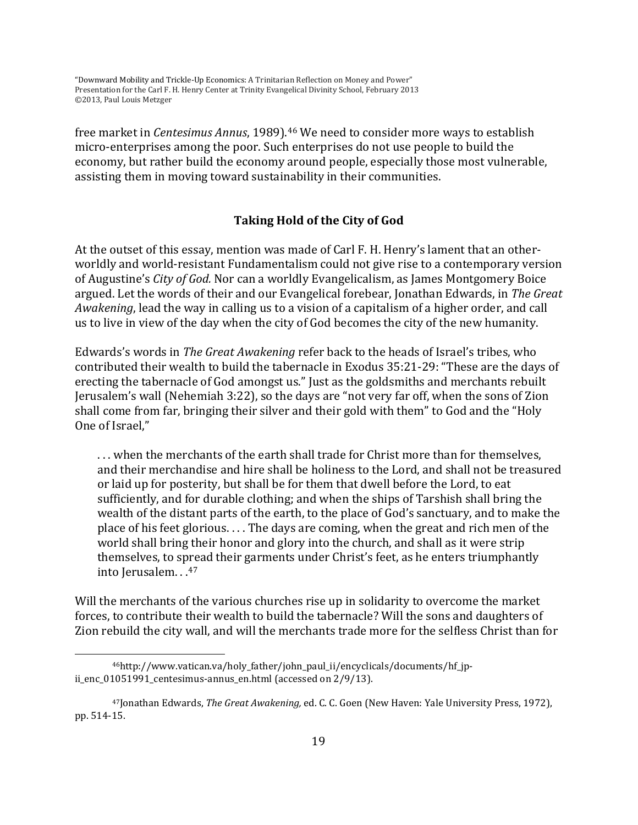free market in *Centesimus Annus*, 1989).[46](#page-17-3) We need to consider more ways to establish micro-enterprises among the poor. Such enterprises do not use people to build the economy, but rather build the economy around people, especially those most vulnerable, assisting them in moving toward sustainability in their communities.

# **Taking Hold of the City of God**

At the outset of this essay, mention was made of Carl F. H. Henry's lament that an otherworldly and world-resistant Fundamentalism could not give rise to a contemporary version of Augustine's *City of God.* Nor can a worldly Evangelicalism, as James Montgomery Boice argued. Let the words of their and our Evangelical forebear, Jonathan Edwards, in *The Great Awakening*, lead the way in calling us to a vision of a capitalism of a higher order, and call us to live in view of the day when the city of God becomes the city of the new humanity.

Edwards's words in *The Great Awakening* refer back to the heads of Israel's tribes, who contributed their wealth to build the tabernacle in Exodus 35:21-29: "These are the days of erecting the tabernacle of God amongst us." Just as the goldsmiths and merchants rebuilt Jerusalem's wall (Nehemiah 3:22), so the days are "not very far off, when the sons of Zion shall come from far, bringing their silver and their gold with them" to God and the "Holy One of Israel,"

. . . when the merchants of the earth shall trade for Christ more than for themselves, and their merchandise and hire shall be holiness to the Lord, and shall not be treasured or laid up for posterity, but shall be for them that dwell before the Lord, to eat sufficiently, and for durable clothing; and when the ships of Tarshish shall bring the wealth of the distant parts of the earth, to the place of God's sanctuary, and to make the place of his feet glorious. . . . The days are coming, when the great and rich men of the world shall bring their honor and glory into the church, and shall as it were strip themselves, to spread their garments under Christ's feet, as he enters triumphantly into Jerusalem. . .[47](#page-18-1)

<span id="page-18-0"></span>Will the merchants of the various churches rise up in solidarity to overcome the market forces, to contribute their wealth to build the tabernacle? Will the sons and daughters of Zion rebuild the city wall, and will the merchants trade more for the selfless Christ than for

<span id="page-18-2"></span><sup>&</sup>lt;sup>46</sup>http://www.vatican.va/holy\_father/john\_paul\_ii/encyclicals/documents/hf\_jpii\_enc\_01051991\_centesimus-annus\_en.html (accessed on 2/9/13).

<span id="page-18-1"></span><sup>47</sup>Jonathan Edwards, *The Great Awakening,* ed. C. C. Goen (New Haven: Yale University Press, 1972), pp. 514-15.